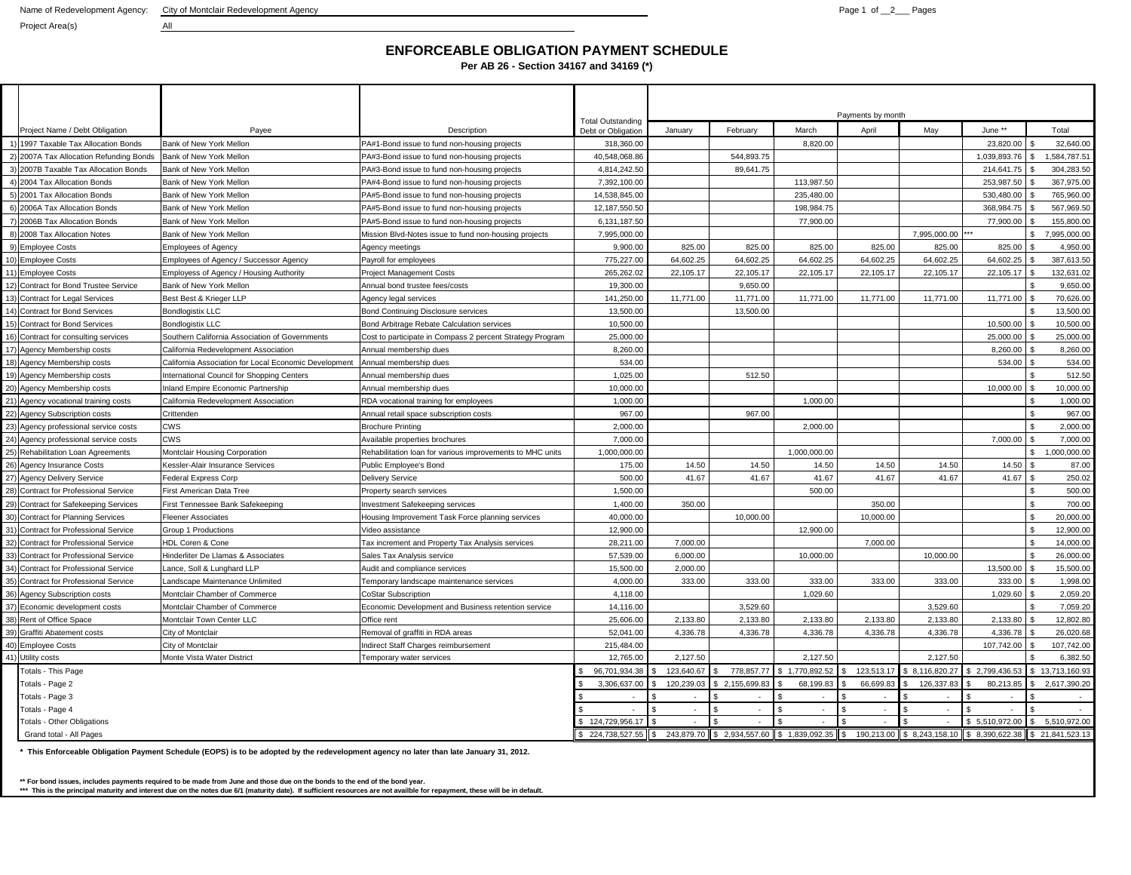Project Area(s) All

## **ENFORCEABLE OBLIGATION PAYMENT SCHEDULE**

**Per AB 26 - Section 34167 and 34169 (\*)**

|     |                                          |                                                       |                                                           |                                                |            |                                               |                      | Payments by month |                               |              |                    |                 |
|-----|------------------------------------------|-------------------------------------------------------|-----------------------------------------------------------|------------------------------------------------|------------|-----------------------------------------------|----------------------|-------------------|-------------------------------|--------------|--------------------|-----------------|
|     | Project Name / Debt Obligation           | Payee                                                 | Description                                               | <b>Total Outstanding</b><br>Debt or Obligation | January    | February                                      | March                | April             | May                           | June **      |                    | Total           |
|     | 1997 Taxable Tax Allocation Bonds        | Bank of New York Mellon                               | PA#1-Bond issue to fund non-housing projects              | 318,360.00                                     |            |                                               | 8,820.00             |                   |                               | 23,820.00    |                    | 32,640.00       |
|     | 2007A Tax Allocation Refunding Bonds     | Bank of New York Mellon                               | PA#3-Bond issue to fund non-housing projects              | 40,548,068.86                                  |            | 544,893.75                                    |                      |                   |                               | 1,039,893.76 | \$                 | 1,584,787.51    |
|     | 2007B Taxable Tax Allocation Bonds       | Bank of New York Mellon                               | PA#3-Bond issue to fund non-housing projects              | 4.814.242.50                                   |            | 89,641.75                                     |                      |                   |                               | 214,641.75   |                    | 304,283.50      |
|     | 2004 Tax Allocation Bonds                | Bank of New York Mellon                               | PA#4-Bond issue to fund non-housing projects              | 7,392,100.00                                   |            |                                               | 113,987.50           |                   |                               | 253,987.50   |                    | 367,975.00      |
|     | 2001 Tax Allocation Bonds                | Bank of New York Mellon                               | PA#5-Bond issue to fund non-housing projects              | 14,538,845.00                                  |            |                                               | 235,480.00           |                   |                               | 530,480.00   |                    | 765,960.00      |
|     | 2006A Tax Allocation Bonds               | Bank of New York Mellon                               | PA#5-Bond issue to fund non-housing projects              | 12,187,550.50                                  |            |                                               | 198,984.75           |                   |                               | 368.984.75   |                    | 567.969.50      |
|     | 2006B Tax Allocation Bonds               | Bank of New York Mellon                               | PA#5-Bond issue to fund non-housing projects              | 6,131,187.50                                   |            |                                               | 77,900.00            |                   |                               | 77,900.00    |                    | 155,800.00      |
| 8)  | 2008 Tax Allocation Notes                | Bank of New York Mellon                               | Mission Blvd-Notes issue to fund non-housing projects     | 7,995,000.00                                   |            |                                               |                      |                   | 7,995,000.00                  |              | \$                 | 7,995,000.00    |
| 9)  | <b>Employee Costs</b>                    | <b>Employees of Agency</b>                            | Agency meetings                                           | 9,900.00                                       | 825.00     | 825.00                                        | 825.00               | 825.00            | 825.00                        | 825.00       |                    | 4,950.00        |
| 10) | <b>Employee Costs</b>                    | Employees of Agency / Successor Agency                | Payroll for employees                                     | 775,227.00                                     | 64,602.25  | 64,602.25                                     | 64,602.25            | 64,602.25         | 64,602.25                     | 64,602.25    |                    | 387,613.50      |
| 11) | <b>Employee Costs</b>                    | Employess of Agency / Housing Authority               | <b>Project Management Costs</b>                           | 265,262.02                                     | 22,105.17  | 22,105.17                                     | 22,105.17            | 22,105.17         | 22,105.17                     | 22,105.17    |                    | 132,631.02      |
| 12) | <b>Contract for Bond Trustee Service</b> | Bank of New York Mellon                               | Annual bond trustee fees/costs                            | 19,300.00                                      |            | 9,650.00                                      |                      |                   |                               |              |                    | 9,650.00        |
| 13) | <b>Contract for Legal Services</b>       | Best Best & Krieger LLP                               | Agency legal services                                     | 141,250.00                                     | 11,771.00  | 11,771.00                                     | 11,771.00            | 11,771.00         | 11,771.00                     | 11,771.00    |                    | 70,626.00       |
| 14) | <b>Contract for Bond Services</b>        | <b>Bondlogistix LLC</b>                               | Bond Continuing Disclosure services                       | 13,500.00                                      |            | 13,500.00                                     |                      |                   |                               |              |                    | 13,500.00       |
| 151 | <b>Contract for Bond Services</b>        | <b>Bondlogistix LLC</b>                               | Bond Arbitrage Rebate Calculation services                | 10,500.00                                      |            |                                               |                      |                   |                               | 10,500.00    |                    | 10,500.00       |
| 16) | Contract for consulting services         | Southern California Association of Governments        | Cost to participate in Compass 2 percent Strategy Program | 25,000.00                                      |            |                                               |                      |                   |                               | 25,000.00    |                    | 25,000.00       |
| 17) | Agency Membership costs                  | California Redevelopment Association                  | Annual membership dues                                    | 8.260.00                                       |            |                                               |                      |                   |                               | 8.260.00     |                    | 8.260.00        |
| 18) | Agency Membership costs                  | California Association for Local Economic Development | Annual membership dues                                    | 534.00                                         |            |                                               |                      |                   |                               | 534.00       |                    | 534.00          |
| 19) | Agency Membership costs                  | International Council for Shopping Centers            | Annual membership dues                                    | 1,025.00                                       |            | 512.50                                        |                      |                   |                               |              |                    | 512.50          |
|     | 20) Agency Membership costs              | nland Empire Economic Partnership                     | Annual membership dues                                    | 10,000.00                                      |            |                                               |                      |                   |                               | 10,000.00    | $\mathbf{\hat{z}}$ | 10.000.00       |
|     | 21) Agency vocational training costs     | California Redevelopment Association                  | RDA vocational training for employees                     | 1,000.00                                       |            |                                               | 1,000.00             |                   |                               |              | $\mathbf{\hat{z}}$ | 1,000.00        |
| 22) | Agency Subscription costs                | Crittenden                                            | Annual retail space subscription costs                    | 967.00                                         |            | 967.00                                        |                      |                   |                               |              | $\mathbf{\hat{s}}$ | 967.00          |
|     | 23) Agency professional service costs    | <b>CWS</b>                                            | <b>Brochure Printing</b>                                  | 2.000.00                                       |            |                                               | 2.000.00             |                   |                               |              | \$                 | 2,000.00        |
| 24) | Agency professional service costs        | <b>CWS</b>                                            | Available properties brochures                            | 7,000.00                                       |            |                                               |                      |                   |                               | 7,000.00     | \$                 | 7,000.00        |
| 25) | Rehabilitation Loan Agreements           | Montclair Housing Corporation                         | Rehabilitation loan for various improvements to MHC units | 1,000,000.00                                   |            |                                               | 1,000,000.00         |                   |                               |              | \$                 | 1,000,000.00    |
| 26) | <b>Agency Insurance Costs</b>            | Kessler-Alair Insurance Services                      | Public Employee's Bond                                    | 175.00                                         | 14.50      | 14.50                                         | 14.50                | 14.50             | 14.50                         | 14.50        |                    | 87.00           |
| 27) | <b>Agency Delivery Service</b>           | Federal Express Corp                                  | <b>Delivery Service</b>                                   | 500.00                                         | 41.67      | 41.67                                         | 41.67                | 41.67             | 41.67                         | 41.67        | \$                 | 250.02          |
| 28) | Contract for Professional Service        | First American Data Tree                              | Property search services                                  | 1,500.00                                       |            |                                               | 500.00               |                   |                               |              |                    | 500.00          |
| 29) | <b>Contract for Safekeeping Services</b> | First Tennessee Bank Safekeeping                      | nvestment Safekeeping services                            | 1.400.00                                       | 350.00     |                                               |                      | 350.00            |                               |              | $\mathbf{\hat{s}}$ | 700.00          |
| 30) | <b>Contract for Planning Services</b>    | Fleener Associates                                    | Housing Improvement Task Force planning services          | 40,000.00                                      |            | 10,000.00                                     |                      | 10,000.00         |                               |              | $\mathbb{S}$       | 20,000.00       |
| 31) | <b>Contract for Professional Service</b> | Group 1 Productions                                   | Video assistance                                          | 12,900.00                                      |            |                                               | 12,900.00            |                   |                               |              | $\mathfrak{s}$     | 12,900.00       |
| 32) | <b>Contract for Professional Service</b> | <b>HDL Coren &amp; Cone</b>                           | Tax increment and Property Tax Analysis services          | 28,211.00                                      | 7.000.00   |                                               |                      | 7.000.00          |                               |              | $\mathbf{s}$       | 14.000.00       |
| 33) | <b>Contract for Professional Service</b> | Hinderliter De Llamas & Associates                    | Sales Tax Analysis service                                | 57,539.00                                      | 6,000.00   |                                               | 10,000.00            |                   | 10,000.00                     |              | $\mathbf{\hat{S}}$ | 26,000.00       |
| 34) | Contract for Professional Service        | Lance, Soll & Lunghard LLP                            | Audit and compliance services                             | 15,500.00                                      | 2,000.00   |                                               |                      |                   |                               | 13,500.00    | $\mathbf{\hat{s}}$ | 15,500.00       |
| 35) | <b>Contract for Professional Service</b> | andscape Maintenance Unlimited                        | Temporary landscape maintenance services                  | 4.000.00                                       | 333.00     | 333.00                                        | 333.00               | 333.00            | 333.00                        | 333.00       |                    | 1.998.00        |
| 36) | Agency Subscription costs                | Montclair Chamber of Commerce                         | <b>CoStar Subscription</b>                                | 4,118.00                                       |            |                                               | 1,029.60             |                   |                               | 1,029.60     |                    | 2,059.20        |
| 37) | Economic development costs               | Montclair Chamber of Commerce                         | Economic Development and Business retention service       | 14,116.00                                      |            | 3,529.60                                      |                      |                   | 3,529.60                      |              |                    | 7,059.20        |
| 38) | Rent of Office Space                     | Montclair Town Center LLC                             | Office rent                                               | 25,606.00                                      | 2,133.80   | 2,133.80                                      | 2,133.80             | 2.133.80          | 2,133.80                      | 2,133.80     |                    | 12,802.80       |
| 39) | Graffiti Abatement costs                 | City of Montclair                                     | Removal of graffiti in RDA areas                          | 52.041.00                                      | 4,336.78   | 4,336.78                                      | 4,336.78             | 4,336.78          | 4,336.78                      | 4,336.78     |                    | 26,020.68       |
| 40) | <b>Employee Costs</b>                    | City of Montclair                                     | Indirect Staff Charges reimbursement                      | 215,484.00                                     |            |                                               |                      |                   |                               | 107,742.00   |                    | 107,742.00      |
| 41) | Utility costs                            | Monte Vista Water District                            | Temporary water services                                  | 12,765.00                                      | 2.127.50   |                                               | 2,127.50             |                   | 2,127.50                      |              |                    | 6.382.50        |
|     | Totals - This Page                       |                                                       |                                                           | 96,701,934.38                                  | 123,640.67 | 778,857.77                                    | 1,770,892.52<br>l \$ | 123,513.17        | \$8,116,820.27                | 2,799,436.53 |                    | 13,713,160.93   |
|     | Totals - Page 2                          |                                                       |                                                           | 3,306,637.00                                   | 120,239.03 | 2,155,699.83                                  | 68,199.83            | 66,699.83         | 126,337.83                    | 80,213.85    |                    | 2,617,390.20    |
|     | Totals - Page 3                          |                                                       |                                                           | $\sim$                                         | $\sim$     | $\sim$                                        | $\sim$               | $\sim$            |                               | $\sim$       |                    | <b>A</b>        |
|     | Totals - Page 4                          |                                                       |                                                           |                                                | $\sim$     | $\sim$                                        | $\sim$               | $\sim$            |                               |              |                    |                 |
|     | Totals - Other Obligations               |                                                       |                                                           | \$124,729,956.17                               | $\sim$     | $\sim$                                        | $\sim$               | $\sim$            |                               | 5,510,972.00 |                    | 5,510,972.00    |
|     | Grand total - All Pages                  |                                                       |                                                           | \$224.738.527.55                               | l s        | 243,879.70 \$ 2,934,557.60 \$ 1,839,092.35 \$ |                      |                   | 190.213.00 \$ 8.243.158.10 \$ | 8.390.622.38 |                    | \$21.841.523.13 |

**\* This Enforceable Obligation Payment Schedule (EOPS) is to be adopted by the redevelopment agency no later than late January 31, 2012.**

\*\* For bond issues, includes payments required to be made from June and those due on the bond ste he bond year.<br>\*\*\* This is the principal maturity and interest due on the notes due 6/1 (maturity date). If sufficient resour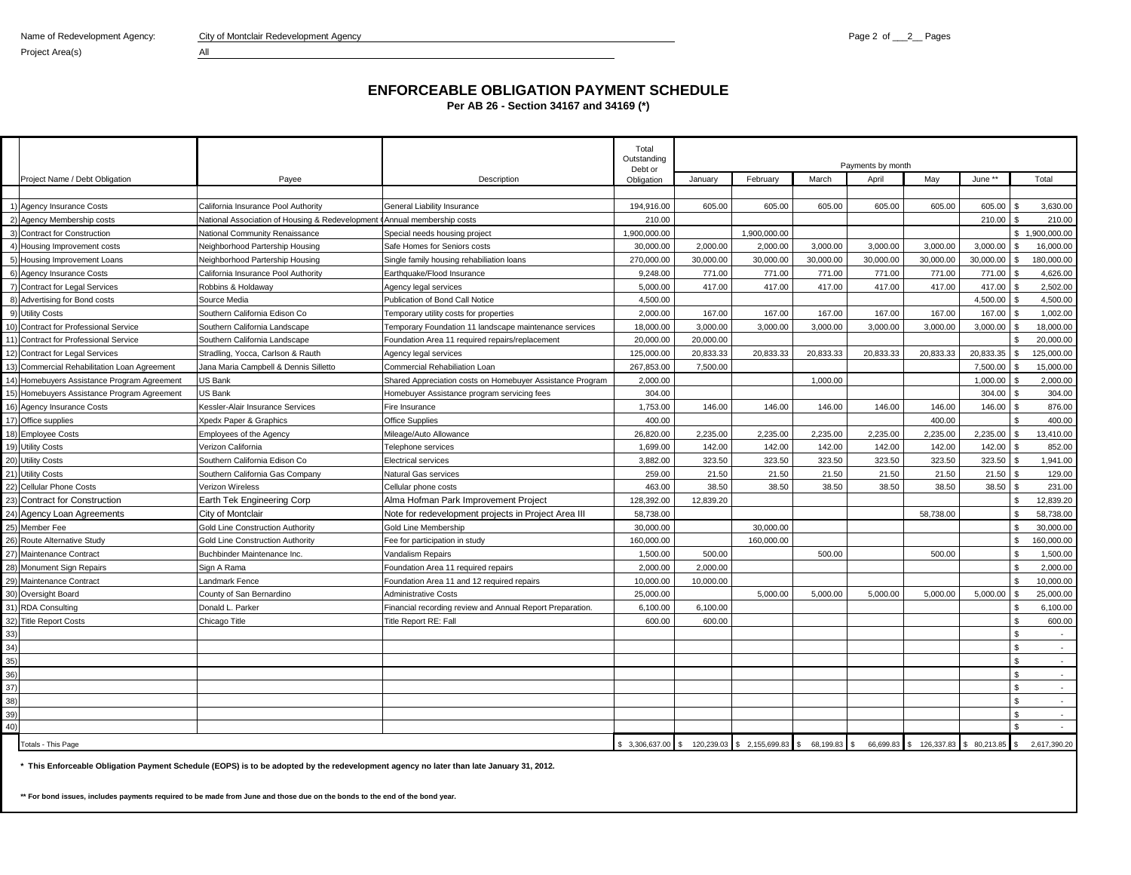Project Area(s) All

## **ENFORCEABLE OBLIGATION PAYMENT SCHEDULE**

**Per AB 26 - Section 34167 and 34169 (\*)**

|                                                 |                                                                          |                                                           | Total<br>Outstanding<br>Debt or | Payments by month |                                               |                              |           |                                       |           |                |                |
|-------------------------------------------------|--------------------------------------------------------------------------|-----------------------------------------------------------|---------------------------------|-------------------|-----------------------------------------------|------------------------------|-----------|---------------------------------------|-----------|----------------|----------------|
| Project Name / Debt Obligation                  | Payee                                                                    | Description                                               | Obligation                      | January           | February                                      | March                        | April     | May                                   | June **   |                | Total          |
|                                                 |                                                                          |                                                           |                                 |                   |                                               |                              |           |                                       |           |                |                |
| 1) Agency Insurance Costs                       | California Insurance Pool Authority                                      | General Liability Insurance                               | 194,916.00                      | 605.00            | 605.00                                        | 605.00                       | 605.00    | 605.00                                | 605.00    | $\mathcal{F}$  | 3,630.00       |
| 2) Agency Membership costs                      | National Association of Housing & Redevelopment CAnnual membership costs |                                                           | 210.00                          |                   |                                               |                              |           |                                       | 210.00    |                | 210.00         |
| <b>Contract for Construction</b>                | National Community Renaissance                                           | Special needs housing project                             | 1,900,000.00                    |                   | 1,900,000.00                                  |                              |           |                                       |           |                | \$1.900.000.00 |
| Housing Improvement costs                       | Neighborhood Partership Housing                                          | Safe Homes for Seniors costs                              | 30,000.00                       | 2.000.00          | 2,000.00                                      | 3,000.00                     | 3.000.00  | 3.000.00                              | 3,000.00  |                | 16,000.00      |
| 5) Housing Improvement Loans                    | Neighborhood Partership Housing                                          | Single family housing rehabiliation loans                 | 270,000.00                      | 30,000.00         | 30,000.00                                     | 30,000.00                    | 30,000.00 | 30,000.00                             | 30,000.00 | \$.            | 180,000.00     |
| 6) Agency Insurance Costs                       | California Insurance Pool Authority                                      | Earthquake/Flood Insurance                                | 9,248.00                        | 771.00            | 771.00                                        | 771.00                       | 771.00    | 771.00                                | 771.00    |                | 4,626.00       |
| <b>Contract for Legal Services</b>              | Robbins & Holdaway                                                       | Agency legal services                                     | 5,000.00                        | 417.00            | 417.00                                        | 417.00                       | 417.00    | 417.00                                | 417.00    | -S             | 2,502.00       |
| 8) Advertising for Bond costs                   | Source Media                                                             | Publication of Bond Call Notice                           | 4,500.00                        |                   |                                               |                              |           |                                       | 4,500.00  |                | 4,500.00       |
| 9) Utility Costs                                | Southern California Edison Co                                            | Temporary utility costs for properties                    | 2,000.00                        | 167.00            | 167.00                                        | 167.00                       | 167.00    | 167.00                                | 167.00    | \$.            | 1,002.00       |
| 10) Contract for Professional Service           | Southern California Landscape                                            | Temporary Foundation 11 landscape maintenance services    | 18,000.00                       | 3,000.00          | 3,000.00                                      | 3,000.00                     | 3,000.00  | 3,000.00                              | 3,000.00  |                | 18,000.00      |
| 11) Contract for Professional Service           | Southern California Landscape                                            | Foundation Area 11 required repairs/replacement           | 20,000,00                       | 20.000.00         |                                               |                              |           |                                       |           |                | 20.000.00      |
| 12) Contract for Legal Services                 | Stradling, Yocca, Carlson & Rauth                                        | Agency legal services                                     | 125,000.00                      | 20,833.33         | 20,833.33                                     | 20,833.33                    | 20,833.33 | 20,833.33                             | 20,833.35 | \$             | 125,000.00     |
| 13) Commercial Rehabilitation Loan Agreement    | Jana Maria Campbell & Dennis Silletto                                    | Commercial Rehabiliation Loan                             | 267,853.00                      | 7,500.00          |                                               |                              |           |                                       | 7,500.00  |                | 15,000.00      |
| Homebuyers Assistance Program Agreement<br>(14) | US Bank                                                                  | Shared Appreciation costs on Homebuyer Assistance Program | 2,000.00                        |                   |                                               | 1,000.00                     |           |                                       | 1,000.00  |                | 2,000.00       |
| 15)<br>Homebuyers Assistance Program Agreement  | US Bank                                                                  | Homebuyer Assistance program servicing fees               | 304.00                          |                   |                                               |                              |           |                                       | 304.00    | \$             | 304.00         |
| 16) Agency Insurance Costs                      | Kessler-Alair Insurance Services                                         | Fire Insurance                                            | 1,753.00                        | 146.00            | 146.00                                        | 146.00                       | 146.00    | 146.00                                | 146.00    | ς.             | 876.00         |
| 17) Office supplies                             | Xpedx Paper & Graphics                                                   | <b>Office Supplies</b>                                    | 400.00                          |                   |                                               |                              |           | 400.00                                |           | \$             | 400.00         |
| 18) Employee Costs                              | Employees of the Agency                                                  | Mileage/Auto Allowance                                    | 26,820.00                       | 2,235.00          | 2,235.00                                      | 2,235.00                     | 2,235.00  | 2,235.00                              | 2,235.00  | \$.            | 13,410.00      |
| 19) Utility Costs                               | Verizon California                                                       | Telephone services                                        | 1,699.00                        | 142.00            | 142.00                                        | 142.00                       | 142.00    | 142.00                                | 142.00    |                | 852.00         |
| 20) Utility Costs                               | Southern California Edison Co                                            | <b>Electrical services</b>                                | 3,882.00                        | 323.50            | 323.50                                        | 323.50                       | 323.50    | 323.50                                | 323.50    | <b>S</b>       | 1,941.00       |
| 21) Utility Costs                               | Southern California Gas Company                                          | Natural Gas services                                      | 259.00                          | 21.50             | 21.50                                         | 21.50                        | 21.50     | 21.50                                 | 21.50     |                | 129.00         |
| 22)<br><b>Cellular Phone Costs</b>              | Verizon Wireless                                                         | Cellular phone costs                                      | 463.00                          | 38.50             | 38.50                                         | 38.50                        | 38.50     | 38.50                                 | 38.50     | ς.             | 231.00         |
| Contract for Construction<br>23)                | Earth Tek Engineering Corp                                               | Alma Hofman Park Improvement Project                      | 128,392.00                      | 12,839.20         |                                               |                              |           |                                       |           | \$             | 12,839.20      |
| 24) Agency Loan Agreements                      | City of Montclair                                                        | Note for redevelopment projects in Project Area III       | 58,738.00                       |                   |                                               |                              |           | 58,738.00                             |           | \$             | 58,738.00      |
| 25)<br>Member Fee                               | Gold Line Construction Authority                                         | Gold Line Membership                                      | 30,000.00                       |                   | 30,000.00                                     |                              |           |                                       |           |                | 30,000.00      |
| 26) Route Alternative Study                     | Gold Line Construction Authority                                         | Fee for participation in study                            | 160,000.00                      |                   | 160,000.00                                    |                              |           |                                       |           | \$.            | 160,000.00     |
| 27)<br>Maintenance Contract                     | Buchbinder Maintenance Inc.                                              | Vandalism Repairs                                         | 1,500.00                        | 500.00            |                                               | 500.00                       |           | 500.00                                |           | $\mathfrak{s}$ | 1,500.00       |
| 28<br>Monument Sign Repairs                     | Sign A Rama                                                              | Foundation Area 11 required repairs                       | 2.000.00                        | 2.000.00          |                                               |                              |           |                                       |           | \$             | 2.000.00       |
| 29) Maintenance Contract                        | Landmark Fence                                                           | Foundation Area 11 and 12 required repairs                | 10,000.00                       | 10,000.00         |                                               |                              |           |                                       |           | \$             | 10,000.00      |
| 30) Oversight Board                             | County of San Bernardino                                                 | <b>Administrative Costs</b>                               | 25,000.00                       |                   | 5,000.00                                      | 5,000.00                     | 5,000.00  | 5,000.00                              | 5,000.00  | $\mathfrak{L}$ | 25,000.00      |
| 31<br><b>RDA Consulting</b>                     | Donald L. Parker                                                         | Financial recording review and Annual Report Preparation. | 6,100.00                        | 6,100.00          |                                               |                              |           |                                       |           | £.             | 6,100.00       |
| 32) Title Report Costs                          | Chicago Title                                                            | Title Report RE: Fall                                     | 600.00                          | 600.00            |                                               |                              |           |                                       |           | \$             | 600.00         |
| 33)                                             |                                                                          |                                                           |                                 |                   |                                               |                              |           |                                       |           | ፍ              | $\sim$         |
| 34)                                             |                                                                          |                                                           |                                 |                   |                                               |                              |           |                                       |           | \$             | $\sim$         |
| 35)                                             |                                                                          |                                                           |                                 |                   |                                               |                              |           |                                       |           | \$             | $\sim$         |
| 36)                                             |                                                                          |                                                           |                                 |                   |                                               |                              |           |                                       |           | \$             | $\sim$         |
| 37)                                             |                                                                          |                                                           |                                 |                   |                                               |                              |           |                                       |           | \$             |                |
| 38)                                             |                                                                          |                                                           |                                 |                   |                                               |                              |           |                                       |           |                |                |
| 39)                                             |                                                                          |                                                           |                                 |                   |                                               |                              |           |                                       |           |                |                |
| 40)                                             |                                                                          |                                                           |                                 |                   |                                               |                              |           |                                       |           |                | $\sim$         |
| Totals - This Page                              |                                                                          |                                                           |                                 |                   | \$ 3,306,637.00 \$ 120,239.03 \$ 2,155,699.83 | 68,199.83 \$<br>$\mathbf{s}$ |           | 66,699.83 \$126,337.83 \$80,213.85 \$ |           |                | 2.617.390.20   |

**\* This Enforceable Obligation Payment Schedule (EOPS) is to be adopted by the redevelopment agency no later than late January 31, 2012.**

**\*\* For bond issues, includes payments required to be made from June and those due on the bonds to the end of the bond year.**